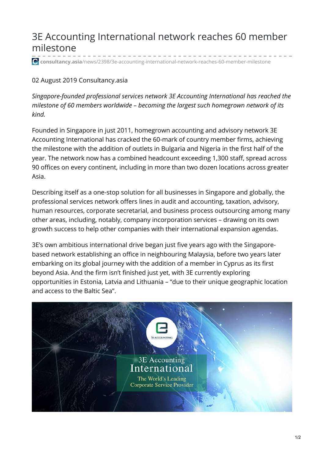## 3E Accounting International network reaches 60 member milestone

**consultancy.asia**[/news/2398/3e-accounting-international-network-reaches-60-member-milestone](https://www.consultancy.asia/news/2398/3e-accounting-international-network-reaches-60-member-milestone)

## 02 August 2019 Consultancy.asia

*Singapore-founded professional services network 3E Accounting International has reached the milestone of 60 members worldwide – becoming the largest such homegrown network of its kind.*

Founded in Singapore in just 2011, homegrown accounting and advisory network 3E Accounting International has cracked the 60-mark of country member firms, achieving the milestone with the addition of outlets in Bulgaria and Nigeria in the first half of the year. The network now has a combined headcount exceeding 1,300 staff, spread across 90 offices on every continent, including in more than two dozen locations across greater Asia.

Describing itself as a one-stop solution for all businesses in Singapore and globally, the professional services network offers lines in audit and accounting, taxation, advisory, human resources, corporate secretarial, and business process outsourcing among many other areas, including, notably, company incorporation services – drawing on its own growth success to help other companies with their international expansion agendas.

3E's own ambitious international drive began just five years ago with the Singaporebased network establishing an office in neighbouring Malaysia, before two years later embarking on its global journey with the addition of a member in Cyprus as its first beyond Asia. And the firm isn't finished just yet, with 3E currently exploring opportunities in Estonia, Latvia and Lithuania – "due to their unique geographic location and access to the Baltic Sea".